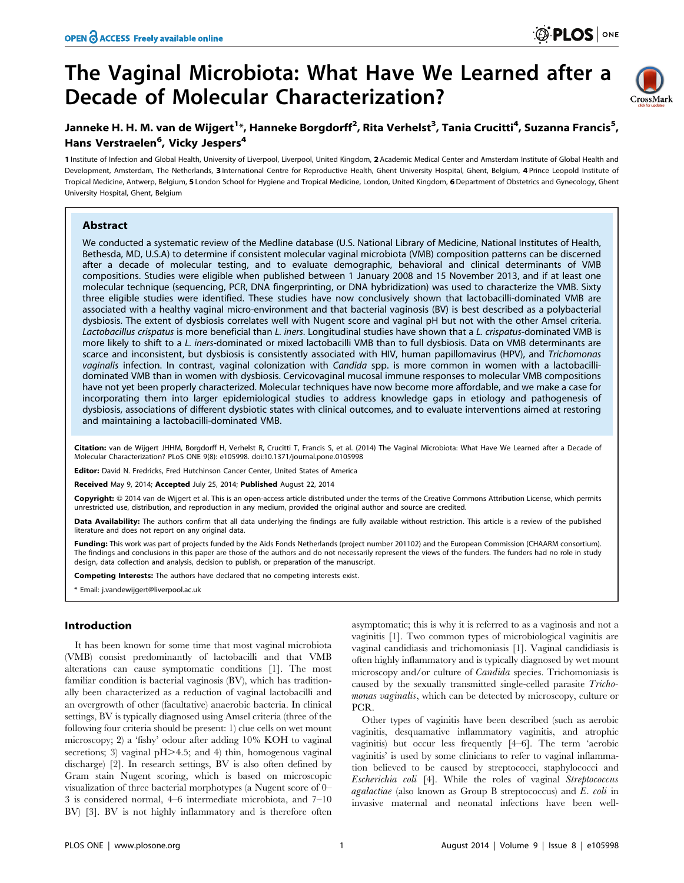# The Vaginal Microbiota: What Have We Learned after a Decade of Molecular Characterization?



## Janneke H. H. M. van de Wijgert<sup>1</sup>\*, Hanneke Borgdorff<sup>2</sup>, Rita Verhelst<sup>3</sup>, Tania Crucitti<sup>4</sup>, Suzanna Francis<sup>5</sup>, Hans Verstraelen<sup>6</sup>, Vicky Jespers<sup>4</sup>

1 Institute of Infection and Global Health, University of Liverpool, Liverpool, United Kingdom, 2 Academic Medical Center and Amsterdam Institute of Global Health and Development, Amsterdam, The Netherlands, 3 International Centre for Reproductive Health, Ghent University Hospital, Ghent, Belgium, 4 Prince Leopold Institute of Tropical Medicine, Antwerp, Belgium, 5 London School for Hygiene and Tropical Medicine, London, United Kingdom, 6 Department of Obstetrics and Gynecology, Ghent University Hospital, Ghent, Belgium

## Abstract

We conducted a systematic review of the Medline database (U.S. National Library of Medicine, National Institutes of Health, Bethesda, MD, U.S.A) to determine if consistent molecular vaginal microbiota (VMB) composition patterns can be discerned after a decade of molecular testing, and to evaluate demographic, behavioral and clinical determinants of VMB compositions. Studies were eligible when published between 1 January 2008 and 15 November 2013, and if at least one molecular technique (sequencing, PCR, DNA fingerprinting, or DNA hybridization) was used to characterize the VMB. Sixty three eligible studies were identified. These studies have now conclusively shown that lactobacilli-dominated VMB are associated with a healthy vaginal micro-environment and that bacterial vaginosis (BV) is best described as a polybacterial dysbiosis. The extent of dysbiosis correlates well with Nugent score and vaginal pH but not with the other Amsel criteria. Lactobacillus crispatus is more beneficial than L. iners. Longitudinal studies have shown that a L. crispatus-dominated VMB is more likely to shift to a L. iners-dominated or mixed lactobacilli VMB than to full dysbiosis. Data on VMB determinants are scarce and inconsistent, but dysbiosis is consistently associated with HIV, human papillomavirus (HPV), and Trichomonas vaginalis infection. In contrast, vaginal colonization with Candida spp. is more common in women with a lactobacillidominated VMB than in women with dysbiosis. Cervicovaginal mucosal immune responses to molecular VMB compositions have not yet been properly characterized. Molecular techniques have now become more affordable, and we make a case for incorporating them into larger epidemiological studies to address knowledge gaps in etiology and pathogenesis of dysbiosis, associations of different dysbiotic states with clinical outcomes, and to evaluate interventions aimed at restoring and maintaining a lactobacilli-dominated VMB.

Citation: van de Wijgert JHHM, Borgdorff H, Verhelst R, Crucitti T, Francis S, et al. (2014) The Vaginal Microbiota: What Have We Learned after a Decade of Molecular Characterization? PLoS ONE 9(8): e105998. doi:10.1371/journal.pone.0105998

Editor: David N. Fredricks, Fred Hutchinson Cancer Center, United States of America

Received May 9, 2014; Accepted July 25, 2014; Published August 22, 2014

Copyright: © 2014 van de Wijgert et al. This is an open-access article distributed under the terms of the [Creative Commons Attribution License](http://creativecommons.org/licenses/by/4.0/), which permits unrestricted use, distribution, and reproduction in any medium, provided the original author and source are credited.

Data Availability: The authors confirm that all data underlying the findings are fully available without restriction. This article is a review of the published literature and does not report on any original data.

Funding: This work was part of projects funded by the Aids Fonds Netherlands (project number 201102) and the European Commission (CHAARM consortium). The findings and conclusions in this paper are those of the authors and do not necessarily represent the views of the funders. The funders had no role in study design, data collection and analysis, decision to publish, or preparation of the manuscript.

Competing Interests: The authors have declared that no competing interests exist.

\* Email: j.vandewijgert@liverpool.ac.uk

## Introduction

It has been known for some time that most vaginal microbiota (VMB) consist predominantly of lactobacilli and that VMB alterations can cause symptomatic conditions [1]. The most familiar condition is bacterial vaginosis (BV), which has traditionally been characterized as a reduction of vaginal lactobacilli and an overgrowth of other (facultative) anaerobic bacteria. In clinical settings, BV is typically diagnosed using Amsel criteria (three of the following four criteria should be present: 1) clue cells on wet mount microscopy; 2) a 'fishy' odour after adding 10% KOH to vaginal secretions; 3) vaginal  $pH > 4.5$ ; and 4) thin, homogenous vaginal discharge) [2]. In research settings, BV is also often defined by Gram stain Nugent scoring, which is based on microscopic visualization of three bacterial morphotypes (a Nugent score of 0– 3 is considered normal, 4–6 intermediate microbiota, and 7–10 BV) [3]. BV is not highly inflammatory and is therefore often

asymptomatic; this is why it is referred to as a vaginosis and not a vaginitis [1]. Two common types of microbiological vaginitis are vaginal candidiasis and trichomoniasis [1]. Vaginal candidiasis is often highly inflammatory and is typically diagnosed by wet mount microscopy and/or culture of Candida species. Trichomoniasis is caused by the sexually transmitted single-celled parasite Trichomonas vaginalis, which can be detected by microscopy, culture or PCR.

Other types of vaginitis have been described (such as aerobic vaginitis, desquamative inflammatory vaginitis, and atrophic vaginitis) but occur less frequently [4–6]. The term 'aerobic vaginitis' is used by some clinicians to refer to vaginal inflammation believed to be caused by streptococci, staphylococci and Escherichia coli [4]. While the roles of vaginal Streptococcus agalactiae (also known as Group B streptococcus) and  $E$ . coli in invasive maternal and neonatal infections have been well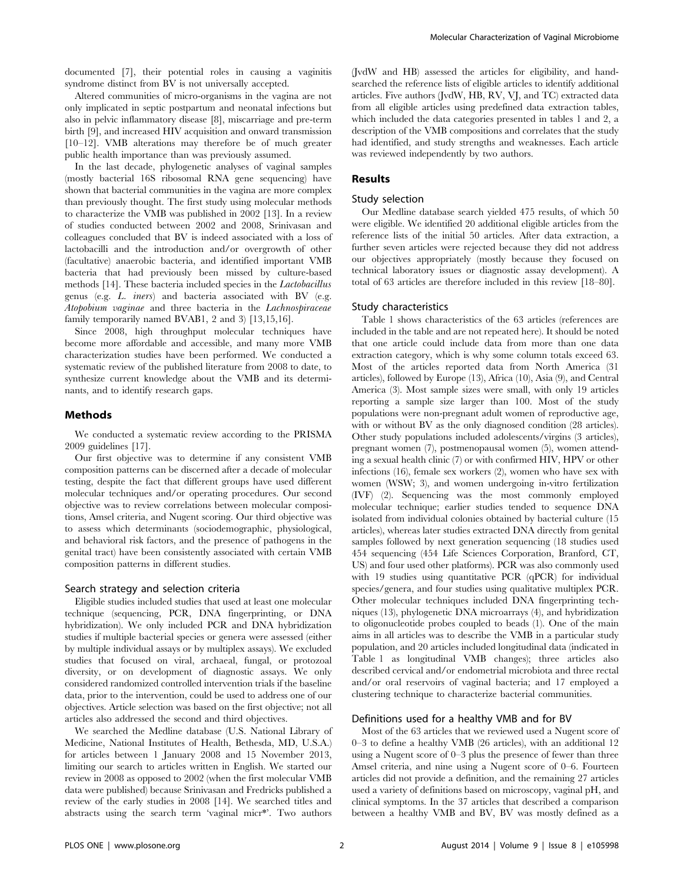documented [7], their potential roles in causing a vaginitis syndrome distinct from BV is not universally accepted.

Altered communities of micro-organisms in the vagina are not only implicated in septic postpartum and neonatal infections but also in pelvic inflammatory disease [8], miscarriage and pre-term birth [9], and increased HIV acquisition and onward transmission [10–12]. VMB alterations may therefore be of much greater public health importance than was previously assumed.

In the last decade, phylogenetic analyses of vaginal samples (mostly bacterial 16S ribosomal RNA gene sequencing) have shown that bacterial communities in the vagina are more complex than previously thought. The first study using molecular methods to characterize the VMB was published in 2002 [13]. In a review of studies conducted between 2002 and 2008, Srinivasan and colleagues concluded that BV is indeed associated with a loss of lactobacilli and the introduction and/or overgrowth of other (facultative) anaerobic bacteria, and identified important VMB bacteria that had previously been missed by culture-based methods [14]. These bacteria included species in the Lactobacillus genus (e.g. L. iners) and bacteria associated with BV (e.g. Atopobium vaginae and three bacteria in the Lachnospiraceae family temporarily named BVAB1, 2 and 3) [13,15,16].

Since 2008, high throughput molecular techniques have become more affordable and accessible, and many more VMB characterization studies have been performed. We conducted a systematic review of the published literature from 2008 to date, to synthesize current knowledge about the VMB and its determinants, and to identify research gaps.

#### Methods

We conducted a systematic review according to the PRISMA 2009 guidelines [17].

Our first objective was to determine if any consistent VMB composition patterns can be discerned after a decade of molecular testing, despite the fact that different groups have used different molecular techniques and/or operating procedures. Our second objective was to review correlations between molecular compositions, Amsel criteria, and Nugent scoring. Our third objective was to assess which determinants (sociodemographic, physiological, and behavioral risk factors, and the presence of pathogens in the genital tract) have been consistently associated with certain VMB composition patterns in different studies.

#### Search strategy and selection criteria

Eligible studies included studies that used at least one molecular technique (sequencing, PCR, DNA fingerprinting, or DNA hybridization). We only included PCR and DNA hybridization studies if multiple bacterial species or genera were assessed (either by multiple individual assays or by multiplex assays). We excluded studies that focused on viral, archaeal, fungal, or protozoal diversity, or on development of diagnostic assays. We only considered randomized controlled intervention trials if the baseline data, prior to the intervention, could be used to address one of our objectives. Article selection was based on the first objective; not all articles also addressed the second and third objectives.

We searched the Medline database (U.S. National Library of Medicine, National Institutes of Health, Bethesda, MD, U.S.A.) for articles between 1 January 2008 and 15 November 2013, limiting our search to articles written in English. We started our review in 2008 as opposed to 2002 (when the first molecular VMB data were published) because Srinivasan and Fredricks published a review of the early studies in 2008 [14]. We searched titles and abstracts using the search term 'vaginal micr\*'. Two authors

(JvdW and HB) assessed the articles for eligibility, and handsearched the reference lists of eligible articles to identify additional articles. Five authors (JvdW, HB, RV, VJ, and TC) extracted data from all eligible articles using predefined data extraction tables, which included the data categories presented in tables 1 and 2, a description of the VMB compositions and correlates that the study had identified, and study strengths and weaknesses. Each article was reviewed independently by two authors.

#### Results

#### Study selection

Our Medline database search yielded 475 results, of which 50 were eligible. We identified 20 additional eligible articles from the reference lists of the initial 50 articles. After data extraction, a further seven articles were rejected because they did not address our objectives appropriately (mostly because they focused on technical laboratory issues or diagnostic assay development). A total of 63 articles are therefore included in this review [18–80].

#### Study characteristics

Table 1 shows characteristics of the 63 articles (references are included in the table and are not repeated here). It should be noted that one article could include data from more than one data extraction category, which is why some column totals exceed 63. Most of the articles reported data from North America (31 articles), followed by Europe (13), Africa (10), Asia (9), and Central America (3). Most sample sizes were small, with only 19 articles reporting a sample size larger than 100. Most of the study populations were non-pregnant adult women of reproductive age, with or without BV as the only diagnosed condition (28 articles). Other study populations included adolescents/virgins (3 articles), pregnant women (7), postmenopausal women (5), women attending a sexual health clinic (7) or with confirmed HIV, HPV or other infections (16), female sex workers (2), women who have sex with women (WSW; 3), and women undergoing in-vitro fertilization (IVF) (2). Sequencing was the most commonly employed molecular technique; earlier studies tended to sequence DNA isolated from individual colonies obtained by bacterial culture (15 articles), whereas later studies extracted DNA directly from genital samples followed by next generation sequencing (18 studies used 454 sequencing (454 Life Sciences Corporation, Branford, CT, US) and four used other platforms). PCR was also commonly used with 19 studies using quantitative PCR (qPCR) for individual species/genera, and four studies using qualitative multiplex PCR. Other molecular techniques included DNA fingerprinting techniques (13), phylogenetic DNA microarrays (4), and hybridization to oligonucleotide probes coupled to beads (1). One of the main aims in all articles was to describe the VMB in a particular study population, and 20 articles included longitudinal data (indicated in Table 1 as longitudinal VMB changes); three articles also described cervical and/or endometrial microbiota and three rectal and/or oral reservoirs of vaginal bacteria; and 17 employed a clustering technique to characterize bacterial communities.

## Definitions used for a healthy VMB and for BV

Most of the 63 articles that we reviewed used a Nugent score of 0–3 to define a healthy VMB (26 articles), with an additional 12 using a Nugent score of 0–3 plus the presence of fewer than three Amsel criteria, and nine using a Nugent score of 0–6. Fourteen articles did not provide a definition, and the remaining 27 articles used a variety of definitions based on microscopy, vaginal pH, and clinical symptoms. In the 37 articles that described a comparison between a healthy VMB and BV, BV was mostly defined as a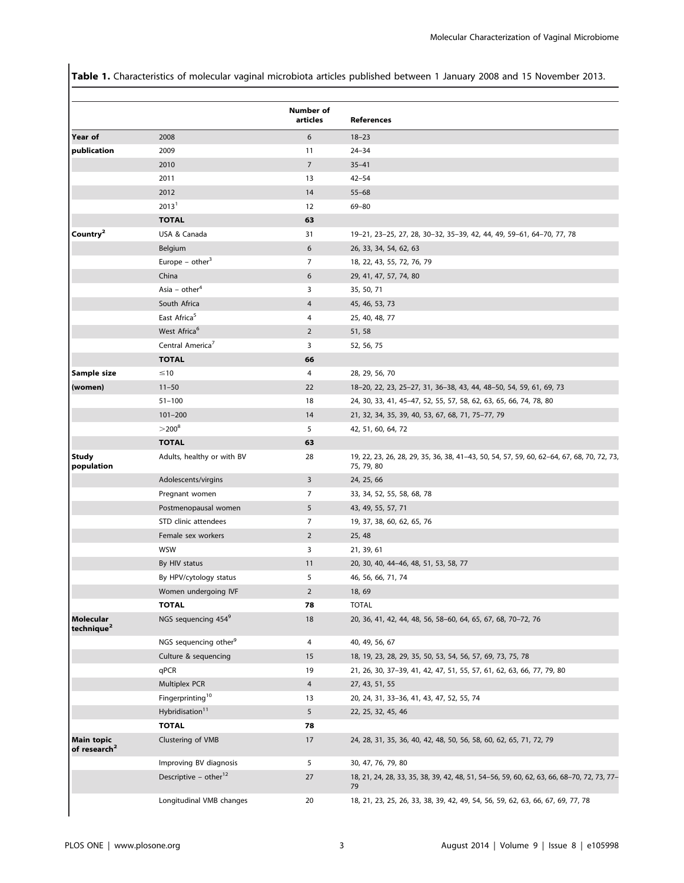Table 1. Characteristics of molecular vaginal microbiota articles published between 1 January 2008 and 15 November 2013.

|                                               |                                   | Number of<br>articles | References                                                                                              |
|-----------------------------------------------|-----------------------------------|-----------------------|---------------------------------------------------------------------------------------------------------|
| Year of                                       | 2008                              | 6                     | $18 - 23$                                                                                               |
| publication                                   | 2009                              | 11                    | $24 - 34$                                                                                               |
|                                               | 2010                              | $\overline{7}$        | $35 - 41$                                                                                               |
|                                               | 2011                              | 13                    | $42 - 54$                                                                                               |
|                                               | 2012                              | 14                    | $55 - 68$                                                                                               |
|                                               | 2013 <sup>1</sup>                 | 12                    | $69 - 80$                                                                                               |
|                                               | <b>TOTAL</b>                      | 63                    |                                                                                                         |
| Country <sup>2</sup>                          | USA & Canada                      | 31                    | 19-21, 23-25, 27, 28, 30-32, 35-39, 42, 44, 49, 59-61, 64-70, 77, 78                                    |
|                                               | Belgium                           | 6                     | 26, 33, 34, 54, 62, 63                                                                                  |
|                                               | Europe – other <sup>3</sup>       | 7                     | 18, 22, 43, 55, 72, 76, 79                                                                              |
|                                               | China                             | 6                     | 29, 41, 47, 57, 74, 80                                                                                  |
|                                               | Asia – other <sup>4</sup>         | 3                     | 35, 50, 71                                                                                              |
|                                               | South Africa                      | $\overline{4}$        | 45, 46, 53, 73                                                                                          |
|                                               | East Africa <sup>5</sup>          | 4                     | 25, 40, 48, 77                                                                                          |
|                                               | West Africa <sup>6</sup>          | $\overline{2}$        | 51, 58                                                                                                  |
|                                               | Central America <sup>7</sup>      | 3                     | 52, 56, 75                                                                                              |
|                                               | <b>TOTAL</b>                      | 66                    |                                                                                                         |
| Sample size                                   | $≤10$                             | 4                     | 28, 29, 56, 70                                                                                          |
| (women)                                       | $11 - 50$                         | 22                    | 18-20, 22, 23, 25-27, 31, 36-38, 43, 44, 48-50, 54, 59, 61, 69, 73                                      |
|                                               | $51 - 100$                        | 18                    | 24, 30, 33, 41, 45-47, 52, 55, 57, 58, 62, 63, 65, 66, 74, 78, 80                                       |
|                                               | $101 - 200$                       | 14                    | 21, 32, 34, 35, 39, 40, 53, 67, 68, 71, 75-77, 79                                                       |
|                                               | $>200^8$                          | 5                     | 42, 51, 60, 64, 72                                                                                      |
|                                               | <b>TOTAL</b>                      | 63                    |                                                                                                         |
| <b>Study</b><br>population                    | Adults, healthy or with BV        | 28                    | 19, 22, 23, 26, 28, 29, 35, 36, 38, 41-43, 50, 54, 57, 59, 60, 62-64, 67, 68, 70, 72, 73,<br>75, 79, 80 |
|                                               | Adolescents/virgins               | 3                     | 24, 25, 66                                                                                              |
|                                               | Pregnant women                    | 7                     | 33, 34, 52, 55, 58, 68, 78                                                                              |
|                                               | Postmenopausal women              | 5                     | 43, 49, 55, 57, 71                                                                                      |
|                                               | STD clinic attendees              | 7                     | 19, 37, 38, 60, 62, 65, 76                                                                              |
|                                               | Female sex workers                | $\overline{2}$        | 25, 48                                                                                                  |
|                                               | <b>WSW</b>                        | 3                     | 21, 39, 61                                                                                              |
|                                               | By HIV status                     | 11                    | 20, 30, 40, 44-46, 48, 51, 53, 58, 77                                                                   |
|                                               | By HPV/cytology status            | 5                     | 46, 56, 66, 71, 74                                                                                      |
|                                               | Women undergoing IVF              | $\overline{2}$        | 18, 69                                                                                                  |
|                                               | <b>TOTAL</b>                      | 78                    | <b>TOTAL</b>                                                                                            |
| <b>Molecular</b><br>technique <sup>2</sup>    | NGS sequencing 454 <sup>9</sup>   | 18                    | 20, 36, 41, 42, 44, 48, 56, 58-60, 64, 65, 67, 68, 70-72, 76                                            |
|                                               | NGS sequencing other <sup>9</sup> | 4                     | 40, 49, 56, 67                                                                                          |
|                                               | Culture & sequencing              | 15                    | 18, 19, 23, 28, 29, 35, 50, 53, 54, 56, 57, 69, 73, 75, 78                                              |
|                                               | qPCR                              | 19                    | 21, 26, 30, 37-39, 41, 42, 47, 51, 55, 57, 61, 62, 63, 66, 77, 79, 80                                   |
|                                               | Multiplex PCR                     | $\overline{4}$        | 27, 43, 51, 55                                                                                          |
|                                               | Fingerprinting <sup>10</sup>      | 13                    | 20, 24, 31, 33-36, 41, 43, 47, 52, 55, 74                                                               |
|                                               | Hybridisation <sup>11</sup>       | 5                     | 22, 25, 32, 45, 46                                                                                      |
|                                               | <b>TOTAL</b>                      | 78                    |                                                                                                         |
| <b>Main topic</b><br>of research <sup>2</sup> | Clustering of VMB                 | 17                    | 24, 28, 31, 35, 36, 40, 42, 48, 50, 56, 58, 60, 62, 65, 71, 72, 79                                      |
|                                               | Improving BV diagnosis            | 5                     | 30, 47, 76, 79, 80                                                                                      |
|                                               | Descriptive - other <sup>12</sup> | 27                    | 18, 21, 24, 28, 33, 35, 38, 39, 42, 48, 51, 54–56, 59, 60, 62, 63, 66, 68–70, 72, 73, 77–<br>79         |
|                                               | Longitudinal VMB changes          | 20                    | 18, 21, 23, 25, 26, 33, 38, 39, 42, 49, 54, 56, 59, 62, 63, 66, 67, 69, 77, 78                          |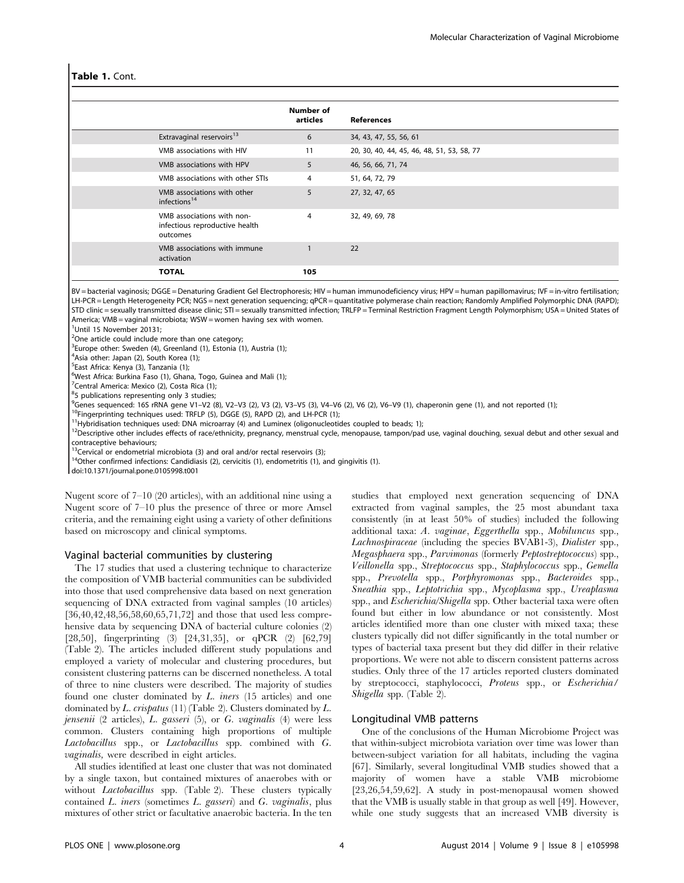#### Table 1. Cont.

|                                       |                                                              | Number of<br>articles | <b>References</b>                          |
|---------------------------------------|--------------------------------------------------------------|-----------------------|--------------------------------------------|
| Extravaginal reservoirs <sup>13</sup> |                                                              | 6                     | 34, 43, 47, 55, 56, 61                     |
|                                       | VMB associations with HIV                                    | 11                    | 20, 30, 40, 44, 45, 46, 48, 51, 53, 58, 77 |
|                                       | VMB associations with HPV                                    | 5                     | 46, 56, 66, 71, 74                         |
|                                       | VMB associations with other STIs                             | 4                     | 51, 64, 72, 79                             |
| infections <sup>14</sup>              | VMB associations with other                                  | 5                     | 27, 32, 47, 65                             |
| outcomes                              | VMB associations with non-<br>infectious reproductive health | 4                     | 32, 49, 69, 78                             |
| activation                            | VMB associations with immune                                 |                       | 22                                         |
| <b>TOTAL</b>                          |                                                              | 105                   |                                            |

BV = bacterial vaginosis; DGGE = Denaturing Gradient Gel Electrophoresis; HIV = human immunodeficiency virus; HPV = human papillomavirus; IVF = in-vitro fertilisation; LH-PCR = Length Heterogeneity PCR; NGS = next generation sequencing; qPCR = quantitative polymerase chain reaction; Randomly Amplified Polymorphic DNA (RAPD); STD clinic = sexually transmitted disease clinic; STI = sexually transmitted infection; TRLFP = Terminal Restriction Fragment Length Polymorphism; USA = United States of America; VMB = vaginal microbiota; WSW = women having sex with women.

1 Until 15 November 20131;

<sup>2</sup>One article could include more than one category;

<sup>3</sup>Europe other: Sweden (4), Greenland (1), Estonia (1), Austria (1);

4 Asia other: Japan (2), South Korea (1);

5 East Africa: Kenya (3), Tanzania (1);

<sup>6</sup>West Africa: Burkina Faso (1), Ghana, Togo, Guinea and Mali (1);

7 Central America: Mexico (2), Costa Rica (1);

<sup>8</sup>5 publications representing only 3 studies; 9 Genes sequenced: 16S rRNA gene V1–V2 (8), V2–V3 (2), V3 (2), V3–V5 (3), V4–V6 (2), V6 (2), V6–V9 (1), chaperonin gene (1), and not reported (1);

<sup>10</sup>Fingerprinting techniques used: TRFLP (5), DGGE (5), RAPD (2), and LH-PCR (1);

 $11$ Hybridisation techniques used: DNA microarray (4) and Luminex (oligonucleotides coupled to beads; 1);

<sup>12</sup>Descriptive other includes effects of race/ethnicity, pregnancy, menstrual cycle, menopause, tampon/pad use, vaginal douching, sexual debut and other sexual and

contraceptive behaviours;

 $3$ Cervical or endometrial microbiota (3) and oral and/or rectal reservoirs (3);

<sup>14</sup>Other confirmed infections: Candidiasis (2), cervicitis (1), endometritis (1), and gingivitis (1).

doi:10.1371/journal.pone.0105998.t001

Nugent score of 7–10 (20 articles), with an additional nine using a Nugent score of 7–10 plus the presence of three or more Amsel criteria, and the remaining eight using a variety of other definitions based on microscopy and clinical symptoms.

#### Vaginal bacterial communities by clustering

The 17 studies that used a clustering technique to characterize the composition of VMB bacterial communities can be subdivided into those that used comprehensive data based on next generation sequencing of DNA extracted from vaginal samples (10 articles) [36,40,42,48,56,58,60,65,71,72] and those that used less comprehensive data by sequencing DNA of bacterial culture colonies (2) [28,50], fingerprinting (3) [24,31,35], or qPCR (2) [62,79] (Table 2). The articles included different study populations and employed a variety of molecular and clustering procedures, but consistent clustering patterns can be discerned nonetheless. A total of three to nine clusters were described. The majority of studies found one cluster dominated by L. iners (15 articles) and one dominated by L. crispatus (11) (Table 2). Clusters dominated by L. *jensenii* (2 articles),  $L$ . gasseri (5), or  $G$ . vaginalis (4) were less common. Clusters containing high proportions of multiple Lactobacillus spp., or Lactobacillus spp. combined with G. vaginalis, were described in eight articles.

All studies identified at least one cluster that was not dominated by a single taxon, but contained mixtures of anaerobes with or without *Lactobacillus* spp. (Table 2). These clusters typically contained L. iners (sometimes L. gasseri) and G. vaginalis, plus mixtures of other strict or facultative anaerobic bacteria. In the ten studies that employed next generation sequencing of DNA extracted from vaginal samples, the 25 most abundant taxa consistently (in at least 50% of studies) included the following additional taxa: A. vaginae, Eggerthella spp., Mobiluncus spp., Lachnospiraceae (including the species BVAB1-3), Dialister spp., Megasphaera spp., Parvimonas (formerly Peptostreptococcus) spp., Veillonella spp., Streptococcus spp., Staphylococcus spp., Gemella spp., Prevotella spp., Porphyromonas spp., Bacteroides spp., Sneathia spp., Leptotrichia spp., Mycoplasma spp., Ureaplasma spp., and Escherichia/Shigella spp. Other bacterial taxa were often found but either in low abundance or not consistently. Most articles identified more than one cluster with mixed taxa; these clusters typically did not differ significantly in the total number or types of bacterial taxa present but they did differ in their relative proportions. We were not able to discern consistent patterns across studies. Only three of the 17 articles reported clusters dominated by streptococci, staphylococci, Proteus spp., or Escherichia/ Shigella spp. (Table 2).

#### Longitudinal VMB patterns

One of the conclusions of the Human Microbiome Project was that within-subject microbiota variation over time was lower than between-subject variation for all habitats, including the vagina [67]. Similarly, several longitudinal VMB studies showed that a majority of women have a stable VMB microbiome [23,26,54,59,62]. A study in post-menopausal women showed that the VMB is usually stable in that group as well [49]. However, while one study suggests that an increased VMB diversity is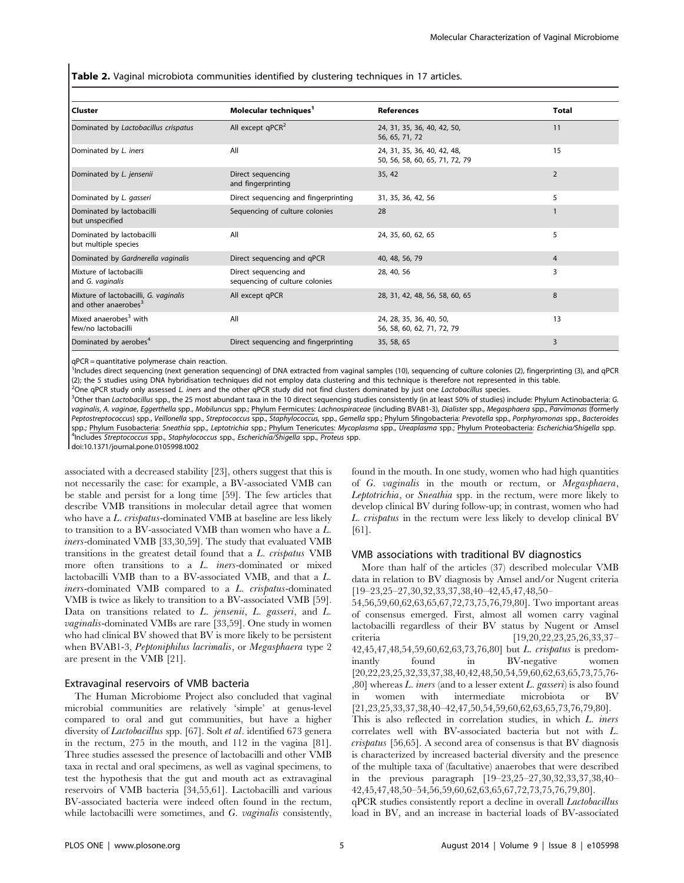Table 2. Vaginal microbiota communities identified by clustering techniques in 17 articles.

| Cluster                                                                   | Molecular techniques <sup>1</sup>                       | <b>References</b>                                             | <b>Total</b>   |
|---------------------------------------------------------------------------|---------------------------------------------------------|---------------------------------------------------------------|----------------|
| Dominated by Lactobacillus crispatus                                      | All except $qPCR2$                                      | 24, 31, 35, 36, 40, 42, 50,<br>56, 65, 71, 72                 | 11             |
| Dominated by L. iners                                                     | All                                                     | 24, 31, 35, 36, 40, 42, 48,<br>50, 56, 58, 60, 65, 71, 72, 79 | 15             |
| Dominated by L. jensenii                                                  | Direct sequencing<br>and fingerprinting                 | 35, 42                                                        | $\overline{2}$ |
| Dominated by L. gasseri                                                   | Direct sequencing and fingerprinting                    | 31, 35, 36, 42, 56                                            | 5              |
| Dominated by lactobacilli<br>but unspecified                              | Sequencing of culture colonies                          | 28                                                            |                |
| Dominated by lactobacilli<br>but multiple species                         | All                                                     | 24, 35, 60, 62, 65                                            | 5              |
| Dominated by Gardnerella vaginalis                                        | Direct sequencing and qPCR                              | 40, 48, 56, 79                                                | 4              |
| Mixture of lactobacilli<br>and G. vaginalis                               | Direct sequencing and<br>sequencing of culture colonies | 28, 40, 56                                                    | 3              |
| Mixture of lactobacilli, G. vaginalis<br>and other anaerobes <sup>3</sup> | All except qPCR                                         | 28, 31, 42, 48, 56, 58, 60, 65                                | 8              |
| Mixed anaerobes <sup>3</sup> with<br>few/no lactobacilli                  | All                                                     | 24, 28, 35, 36, 40, 50,<br>56, 58, 60, 62, 71, 72, 79         | 13             |
| Dominated by aerobes <sup>4</sup>                                         | Direct sequencing and fingerprinting                    | 35, 58, 65                                                    | 3              |

qPCR = quantitative polymerase chain reaction.

<sup>1</sup>Includes direct sequencing (next generation sequencing) of DNA extracted from vaginal samples (10), sequencing of culture colonies (2), fingerprinting (3), and qPCR (2); the 5 studies using DNA hybridisation techniques did not employ data clustering and this technique is therefore not represented in this table.

<sup>2</sup>One qPCR study only assessed *L. iners* and the other qPCR study did not find clusters dominated by just one *Lactobacillus* species.<br><sup>3</sup>Other than *Lactobacillus* spp., the 25 most abundant taxa in the 10 direct seque

<sup>3</sup>Other than Lactobacillus spp., the 25 most abundant taxa in the 10 direct sequencing studies consistently (in at least 50% of studies) include: Phylum Actinobacteria: G. vaginalis, A. vaginae, Eggerthella spp., Mobiluncus spp.; Phylum Fermicutes: Lachnospiraceae (including BVAB1-3), Dialister spp., Megasphaera spp., Parvimonas (formerly Peptostreptococcus) spp., Veillonella spp., Streptococcus spp., Staphylococcus, spp., Gemella spp.; Phylum Sfingobacteria: Prevotella spp., Porphyromonas spp., Bacteroides spp.; Phylum Fusobacteria: Sneathia spp., Leptotrichia spp.; Phylum Tenericutes: Mycoplasma spp., Ureaplasma spp.; Phylum Proteobacteria: Escherichia/Shigella spp. <sup>4</sup>Includes Streptococcus spp., Staphylococcus spp., Escherichia/Shigella spp., Proteus spp.

doi:10.1371/journal.pone.0105998.t002

associated with a decreased stability [23], others suggest that this is not necessarily the case: for example, a BV-associated VMB can be stable and persist for a long time [59]. The few articles that describe VMB transitions in molecular detail agree that women who have a L. crispatus-dominated VMB at baseline are less likely to transition to a BV-associated VMB than women who have a L. iners-dominated VMB [33,30,59]. The study that evaluated VMB transitions in the greatest detail found that a L. crispatus VMB more often transitions to a L. iners-dominated or mixed lactobacilli VMB than to a BV-associated VMB, and that a L. iners-dominated VMB compared to a L. crispatus-dominated VMB is twice as likely to transition to a BV-associated VMB [59]. Data on transitions related to L. jensenii, L. gasseri, and L. vaginalis-dominated VMBs are rare [33,59]. One study in women who had clinical BV showed that BV is more likely to be persistent when BVAB1-3, *Peptoniphilus lacrimalis*, or *Megasphaera* type 2 are present in the VMB [21].

## Extravaginal reservoirs of VMB bacteria

The Human Microbiome Project also concluded that vaginal microbial communities are relatively 'simple' at genus-level compared to oral and gut communities, but have a higher diversity of Lactobacillus spp. [67]. Solt et al. identified 673 genera in the rectum, 275 in the mouth, and 112 in the vagina [81]. Three studies assessed the presence of lactobacilli and other VMB taxa in rectal and oral specimens, as well as vaginal specimens, to test the hypothesis that the gut and mouth act as extravaginal reservoirs of VMB bacteria [34,55,61]. Lactobacilli and various BV-associated bacteria were indeed often found in the rectum, while lactobacilli were sometimes, and G. vaginalis consistently, found in the mouth. In one study, women who had high quantities of G. vaginalis in the mouth or rectum, or Megasphaera, Leptotrichia, or Sneathia spp. in the rectum, were more likely to develop clinical BV during follow-up; in contrast, women who had L. crispatus in the rectum were less likely to develop clinical BV [61].

#### VMB associations with traditional BV diagnostics

More than half of the articles (37) described molecular VMB data in relation to BV diagnosis by Amsel and/or Nugent criteria [19–23,25–27,30,32,33,37,38,40–42,45,47,48,50–

54,56,59,60,62,63,65,67,72,73,75,76,79,80]. Two important areas of consensus emerged. First, almost all women carry vaginal lactobacilli regardless of their BV status by Nugent or Amsel criteria [19,20,22,23,25,26,33,37– 42,45,47,48,54,59,60,62,63,73,76,80] but L. crispatus is predominantly found in BV-negative women [20,22,23,25,32,33,37,38,40,42,48,50,54,59,60,62,63,65,73,75,76- ,80] whereas  $L.$  iners (and to a lesser extent  $L.$  gasseri) is also found in women with intermediate microbiota or BV [21,23,25,33,37,38,40–42,47,50,54,59,60,62,63,65,73,76,79,80]. This is also reflected in correlation studies, in which L. iners correlates well with BV-associated bacteria but not with L. crispatus [56,65]. A second area of consensus is that BV diagnosis is characterized by increased bacterial diversity and the presence of the multiple taxa of (facultative) anaerobes that were described in the previous paragraph [19–23,25–27,30,32,33,37,38,40– 42,45,47,48,50–54,56,59,60,62,63,65,67,72,73,75,76,79,80].

qPCR studies consistently report a decline in overall Lactobacillus load in BV, and an increase in bacterial loads of BV-associated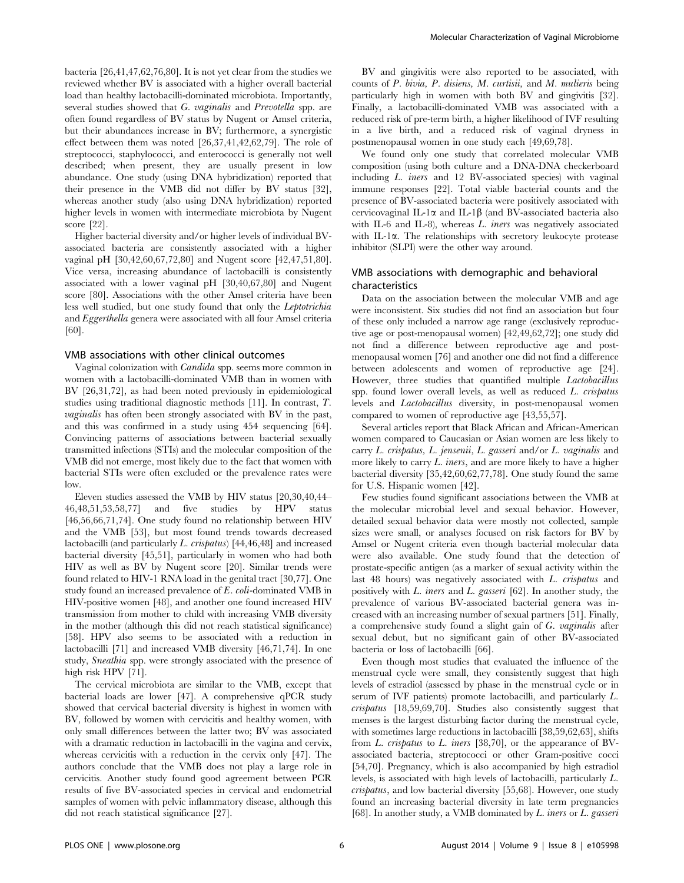bacteria [26,41,47,62,76,80]. It is not yet clear from the studies we reviewed whether BV is associated with a higher overall bacterial load than healthy lactobacilli-dominated microbiota. Importantly, several studies showed that G. vaginalis and Prevotella spp. are often found regardless of BV status by Nugent or Amsel criteria, but their abundances increase in BV; furthermore, a synergistic effect between them was noted [26,37,41,42,62,79]. The role of streptococci, staphylococci, and enterococci is generally not well described; when present, they are usually present in low abundance. One study (using DNA hybridization) reported that their presence in the VMB did not differ by BV status [32], whereas another study (also using DNA hybridization) reported higher levels in women with intermediate microbiota by Nugent score [22].

Higher bacterial diversity and/or higher levels of individual BVassociated bacteria are consistently associated with a higher vaginal pH [30,42,60,67,72,80] and Nugent score [42,47,51,80]. Vice versa, increasing abundance of lactobacilli is consistently associated with a lower vaginal pH [30,40,67,80] and Nugent score [80]. Associations with the other Amsel criteria have been less well studied, but one study found that only the Leptotrichia and Eggerthella genera were associated with all four Amsel criteria [60].

#### VMB associations with other clinical outcomes

Vaginal colonization with Candida spp. seems more common in women with a lactobacilli-dominated VMB than in women with BV [26,31,72], as had been noted previously in epidemiological studies using traditional diagnostic methods [11]. In contrast, T. vaginalis has often been strongly associated with BV in the past, and this was confirmed in a study using 454 sequencing [64]. Convincing patterns of associations between bacterial sexually transmitted infections (STIs) and the molecular composition of the VMB did not emerge, most likely due to the fact that women with bacterial STIs were often excluded or the prevalence rates were low.

Eleven studies assessed the VMB by HIV status [20,30,40,44– 46,48,51,53,58,77] and five studies by HPV status [46,56,66,71,74]. One study found no relationship between HIV and the VMB [53], but most found trends towards decreased lactobacilli (and particularly L. crispatus) [44,46,48] and increased bacterial diversity [45,51], particularly in women who had both HIV as well as BV by Nugent score [20]. Similar trends were found related to HIV-1 RNA load in the genital tract [30,77]. One study found an increased prevalence of E. coli-dominated VMB in HIV-positive women [48], and another one found increased HIV transmission from mother to child with increasing VMB diversity in the mother (although this did not reach statistical significance) [58]. HPV also seems to be associated with a reduction in lactobacilli [71] and increased VMB diversity [46,71,74]. In one study, Sneathia spp. were strongly associated with the presence of high risk HPV [71].

The cervical microbiota are similar to the VMB, except that bacterial loads are lower [47]. A comprehensive qPCR study showed that cervical bacterial diversity is highest in women with BV, followed by women with cervicitis and healthy women, with only small differences between the latter two; BV was associated with a dramatic reduction in lactobacilli in the vagina and cervix, whereas cervicitis with a reduction in the cervix only [47]. The authors conclude that the VMB does not play a large role in cervicitis. Another study found good agreement between PCR results of five BV-associated species in cervical and endometrial samples of women with pelvic inflammatory disease, although this did not reach statistical significance [27].

BV and gingivitis were also reported to be associated, with counts of P. bivia, P. disiens, M. curtisii, and M. mulieris being particularly high in women with both BV and gingivitis [32]. Finally, a lactobacilli-dominated VMB was associated with a reduced risk of pre-term birth, a higher likelihood of IVF resulting in a live birth, and a reduced risk of vaginal dryness in postmenopausal women in one study each [49,69,78].

We found only one study that correlated molecular VMB composition (using both culture and a DNA-DNA checkerboard including L. iners and 12 BV-associated species) with vaginal immune responses [22]. Total viable bacterial counts and the presence of BV-associated bacteria were positively associated with cervicovaginal IL-1 $\alpha$  and IL-1 $\beta$  (and BV-associated bacteria also with IL-6 and IL-8), whereas L. iners was negatively associated with IL-1 $\alpha$ . The relationships with secretory leukocyte protease inhibitor (SLPI) were the other way around.

## VMB associations with demographic and behavioral characteristics

Data on the association between the molecular VMB and age were inconsistent. Six studies did not find an association but four of these only included a narrow age range (exclusively reproductive age or post-menopausal women) [42,49,62,72]; one study did not find a difference between reproductive age and postmenopausal women [76] and another one did not find a difference between adolescents and women of reproductive age [24]. However, three studies that quantified multiple Lactobacillus spp. found lower overall levels, as well as reduced L. crispatus levels and Lactobacillus diversity, in post-menopausal women compared to women of reproductive age [43,55,57].

Several articles report that Black African and African-American women compared to Caucasian or Asian women are less likely to carry L. crispatus, L. jensenii, L. gasseri and/or L. vaginalis and more likely to carry L. iners, and are more likely to have a higher bacterial diversity [35,42,60,62,77,78]. One study found the same for U.S. Hispanic women [42].

Few studies found significant associations between the VMB at the molecular microbial level and sexual behavior. However, detailed sexual behavior data were mostly not collected, sample sizes were small, or analyses focused on risk factors for BV by Amsel or Nugent criteria even though bacterial molecular data were also available. One study found that the detection of prostate-specific antigen (as a marker of sexual activity within the last 48 hours) was negatively associated with L. crispatus and positively with  $L$ . iners and  $L$ . gasseri [62]. In another study, the prevalence of various BV-associated bacterial genera was increased with an increasing number of sexual partners [51]. Finally, a comprehensive study found a slight gain of G. vaginalis after sexual debut, but no significant gain of other BV-associated bacteria or loss of lactobacilli [66].

Even though most studies that evaluated the influence of the menstrual cycle were small, they consistently suggest that high levels of estradiol (assessed by phase in the menstrual cycle or in serum of IVF patients) promote lactobacilli, and particularly L. crispatus [18,59,69,70]. Studies also consistently suggest that menses is the largest disturbing factor during the menstrual cycle, with sometimes large reductions in lactobacilli [38,59,62,63], shifts from L. crispatus to L. iners [38,70], or the appearance of BVassociated bacteria, streptococci or other Gram-positive cocci [54,70]. Pregnancy, which is also accompanied by high estradiol levels, is associated with high levels of lactobacilli, particularly L. crispatus, and low bacterial diversity [55,68]. However, one study found an increasing bacterial diversity in late term pregnancies [68]. In another study, a VMB dominated by  $L$ . iners or  $L$ . gasseri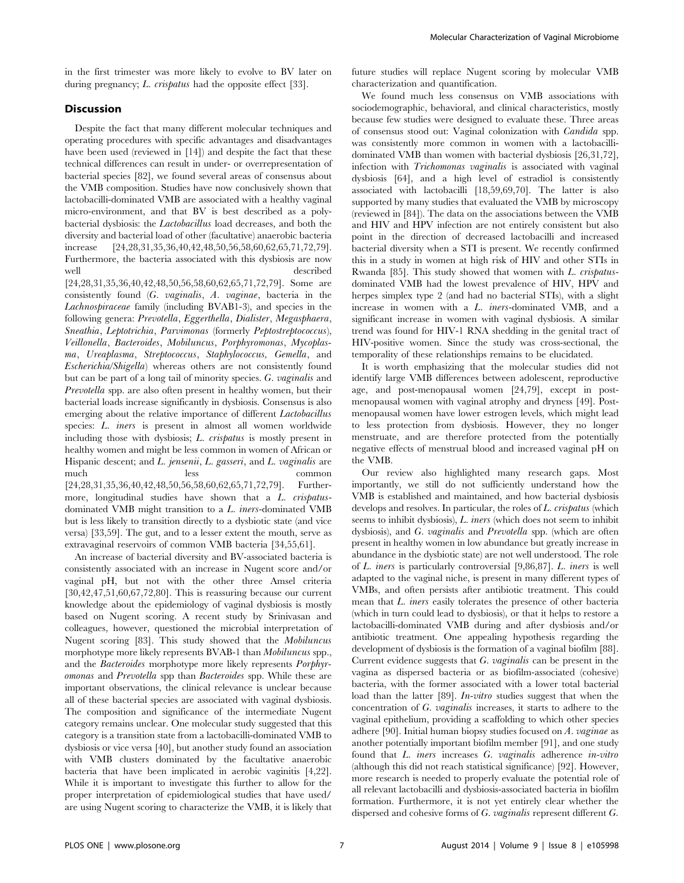in the first trimester was more likely to evolve to BV later on during pregnancy; *L. crispatus* had the opposite effect [33].

## Discussion

Despite the fact that many different molecular techniques and operating procedures with specific advantages and disadvantages have been used (reviewed in [14]) and despite the fact that these technical differences can result in under- or overrepresentation of bacterial species [82], we found several areas of consensus about the VMB composition. Studies have now conclusively shown that lactobacilli-dominated VMB are associated with a healthy vaginal micro-environment, and that BV is best described as a polybacterial dysbiosis: the Lactobacillus load decreases, and both the diversity and bacterial load of other (facultative) anaerobic bacteria increase [24,28,31,35,36,40,42,48,50,56,58,60,62,65,71,72,79]. Furthermore, the bacteria associated with this dysbiosis are now well described

[24,28,31,35,36,40,42,48,50,56,58,60,62,65,71,72,79]. Some are consistently found (G. vaginalis, A. vaginae, bacteria in the Lachnospiraceae family (including BVAB1-3), and species in the following genera: Prevotella, Eggerthella, Dialister, Megasphaera, Sneathia, Leptotrichia, Parvimonas (formerly Peptostreptococcus), Veillonella, Bacteroides, Mobiluncus, Porphyromonas, Mycoplasma, Ureaplasma, Streptococcus, Staphylococcus, Gemella, and Escherichia/Shigella) whereas others are not consistently found but can be part of a long tail of minority species. G. vaginalis and Prevotella spp. are also often present in healthy women, but their bacterial loads increase significantly in dysbiosis. Consensus is also emerging about the relative importance of different Lactobacillus species: L. iners is present in almost all women worldwide including those with dysbiosis; L. crispatus is mostly present in healthy women and might be less common in women of African or Hispanic descent; and L. jensenii, L. gasseri, and L. vaginalis are much less common [24,28,31,35,36,40,42,48,50,56,58,60,62,65,71,72,79]. Furthermore, longitudinal studies have shown that a L. crispatusdominated VMB might transition to a L. iners-dominated VMB but is less likely to transition directly to a dysbiotic state (and vice versa) [33,59]. The gut, and to a lesser extent the mouth, serve as extravaginal reservoirs of common VMB bacteria [34,55,61].

An increase of bacterial diversity and BV-associated bacteria is consistently associated with an increase in Nugent score and/or vaginal pH, but not with the other three Amsel criteria [30,42,47,51,60,67,72,80]. This is reassuring because our current knowledge about the epidemiology of vaginal dysbiosis is mostly based on Nugent scoring. A recent study by Srinivasan and colleagues, however, questioned the microbial interpretation of Nugent scoring [83]. This study showed that the Mobiluncus morphotype more likely represents BVAB-1 than *Mobiluncus* spp., and the Bacteroides morphotype more likely represents Porphyromonas and Prevotella spp than Bacteroides spp. While these are important observations, the clinical relevance is unclear because all of these bacterial species are associated with vaginal dysbiosis. The composition and significance of the intermediate Nugent category remains unclear. One molecular study suggested that this category is a transition state from a lactobacilli-dominated VMB to dysbiosis or vice versa [40], but another study found an association with VMB clusters dominated by the facultative anaerobic bacteria that have been implicated in aerobic vaginitis [4,22]. While it is important to investigate this further to allow for the proper interpretation of epidemiological studies that have used/ are using Nugent scoring to characterize the VMB, it is likely that

future studies will replace Nugent scoring by molecular VMB characterization and quantification.

We found much less consensus on VMB associations with sociodemographic, behavioral, and clinical characteristics, mostly because few studies were designed to evaluate these. Three areas of consensus stood out: Vaginal colonization with Candida spp. was consistently more common in women with a lactobacillidominated VMB than women with bacterial dysbiosis [26,31,72], infection with *Trichomonas vaginalis* is associated with vaginal dysbiosis [64], and a high level of estradiol is consistently associated with lactobacilli [18,59,69,70]. The latter is also supported by many studies that evaluated the VMB by microscopy (reviewed in [84]). The data on the associations between the VMB and HIV and HPV infection are not entirely consistent but also point in the direction of decreased lactobacilli and increased bacterial diversity when a STI is present. We recently confirmed this in a study in women at high risk of HIV and other STIs in Rwanda [85]. This study showed that women with L. crispatusdominated VMB had the lowest prevalence of HIV, HPV and herpes simplex type 2 (and had no bacterial STIs), with a slight increase in women with a L. iners-dominated VMB, and a significant increase in women with vaginal dysbiosis. A similar trend was found for HIV-1 RNA shedding in the genital tract of HIV-positive women. Since the study was cross-sectional, the temporality of these relationships remains to be elucidated.

It is worth emphasizing that the molecular studies did not identify large VMB differences between adolescent, reproductive age, and post-menopausal women [24,79], except in postmenopausal women with vaginal atrophy and dryness [49]. Postmenopausal women have lower estrogen levels, which might lead to less protection from dysbiosis. However, they no longer menstruate, and are therefore protected from the potentially negative effects of menstrual blood and increased vaginal pH on the VMB.

Our review also highlighted many research gaps. Most importantly, we still do not sufficiently understand how the VMB is established and maintained, and how bacterial dysbiosis develops and resolves. In particular, the roles of L. crispatus (which seems to inhibit dysbiosis), L. iners (which does not seem to inhibit dysbiosis), and G. vaginalis and Prevotella spp. (which are often present in healthy women in low abundance but greatly increase in abundance in the dysbiotic state) are not well understood. The role of L. iners is particularly controversial [9,86,87]. L. iners is well adapted to the vaginal niche, is present in many different types of VMBs, and often persists after antibiotic treatment. This could mean that L. iners easily tolerates the presence of other bacteria (which in turn could lead to dysbiosis), or that it helps to restore a lactobacilli-dominated VMB during and after dysbiosis and/or antibiotic treatment. One appealing hypothesis regarding the development of dysbiosis is the formation of a vaginal biofilm [88]. Current evidence suggests that G. vaginalis can be present in the vagina as dispersed bacteria or as biofilm-associated (cohesive) bacteria, with the former associated with a lower total bacterial load than the latter [89]. *In-vitro* studies suggest that when the concentration of G. vaginalis increases, it starts to adhere to the vaginal epithelium, providing a scaffolding to which other species adhere [90]. Initial human biopsy studies focused on A. vaginae as another potentially important biofilm member [91], and one study found that L. iners increases G. vaginalis adherence in-vitro (although this did not reach statistical significance) [92]. However, more research is needed to properly evaluate the potential role of all relevant lactobacilli and dysbiosis-associated bacteria in biofilm formation. Furthermore, it is not yet entirely clear whether the dispersed and cohesive forms of G. vaginalis represent different G.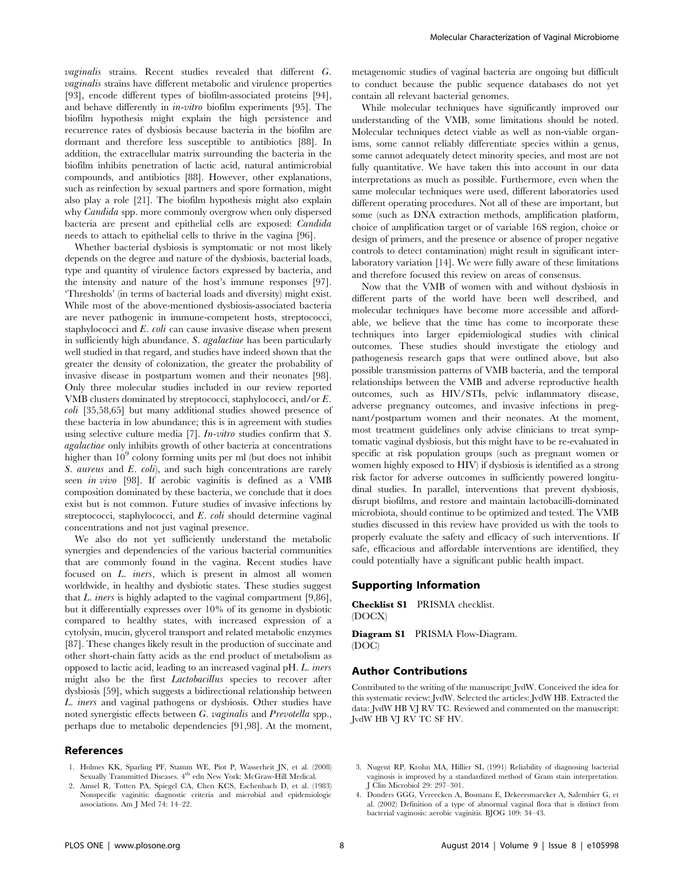vaginalis strains. Recent studies revealed that different G. vaginalis strains have different metabolic and virulence properties [93], encode different types of biofilm-associated proteins [94], and behave differently in in-vitro biofilm experiments [95]. The biofilm hypothesis might explain the high persistence and recurrence rates of dysbiosis because bacteria in the biofilm are dormant and therefore less susceptible to antibiotics [88]. In addition, the extracellular matrix surrounding the bacteria in the biofilm inhibits penetration of lactic acid, natural antimicrobial compounds, and antibiotics [88]. However, other explanations, such as reinfection by sexual partners and spore formation, might also play a role [21]. The biofilm hypothesis might also explain why *Candida* spp. more commonly overgrow when only dispersed bacteria are present and epithelial cells are exposed: Candida needs to attach to epithelial cells to thrive in the vagina [96].

Whether bacterial dysbiosis is symptomatic or not most likely depends on the degree and nature of the dysbiosis, bacterial loads, type and quantity of virulence factors expressed by bacteria, and the intensity and nature of the host's immune responses [97]. 'Thresholds' (in terms of bacterial loads and diversity) might exist. While most of the above-mentioned dysbiosis-associated bacteria are never pathogenic in immune-competent hosts, streptococci, staphylococci and E. coli can cause invasive disease when present in sufficiently high abundance. S. agalactiae has been particularly well studied in that regard, and studies have indeed shown that the greater the density of colonization, the greater the probability of invasive disease in postpartum women and their neonates [98]. Only three molecular studies included in our review reported VMB clusters dominated by streptococci, staphylococci, and/or E. coli [35,58,65] but many additional studies showed presence of these bacteria in low abundance; this is in agreement with studies using selective culture media [7]. In-vitro studies confirm that S. agalactiae only inhibits growth of other bacteria at concentrations higher than  $10^9$  colony forming units per ml (but does not inhibit S. aureus and E. coli), and such high concentrations are rarely seen in vivo [98]. If aerobic vaginitis is defined as a VMB composition dominated by these bacteria, we conclude that it does exist but is not common. Future studies of invasive infections by streptococci, staphylococci, and E. coli should determine vaginal concentrations and not just vaginal presence.

We also do not yet sufficiently understand the metabolic synergies and dependencies of the various bacterial communities that are commonly found in the vagina. Recent studies have focused on L. iners, which is present in almost all women worldwide, in healthy and dysbiotic states. These studies suggest that  $L$ . *iners* is highly adapted to the vaginal compartment [9,86], but it differentially expresses over 10% of its genome in dysbiotic compared to healthy states, with increased expression of a cytolysin, mucin, glycerol transport and related metabolic enzymes [87]. These changes likely result in the production of succinate and other short-chain fatty acids as the end product of metabolism as opposed to lactic acid, leading to an increased vaginal pH. L. iners might also be the first Lactobacillus species to recover after dysbiosis [59], which suggests a bidirectional relationship between L. iners and vaginal pathogens or dysbiosis. Other studies have noted synergistic effects between G. vaginalis and Prevotella spp., perhaps due to metabolic dependencies [91,98]. At the moment,

#### References

- 1. Holmes KK, Sparling PF, Stamm WE, Piot P, Wasserheit JN, et al. (2008) Sexually Transmitted Diseases. 4<sup>th</sup> edn New York: McGraw-Hill Medical.
- 2. Amsel R, Totten PA, Spiegel CA, Chen KCS, Eschenbach D, et al. (1983) Nonspecific vaginitis: diagnostic criteria and microbial and epidemiologic associations. Am J Med 74: 14–22.

metagenomic studies of vaginal bacteria are ongoing but difficult to conduct because the public sequence databases do not yet contain all relevant bacterial genomes.

While molecular techniques have significantly improved our understanding of the VMB, some limitations should be noted. Molecular techniques detect viable as well as non-viable organisms, some cannot reliably differentiate species within a genus, some cannot adequately detect minority species, and most are not fully quantitative. We have taken this into account in our data interpretations as much as possible. Furthermore, even when the same molecular techniques were used, different laboratories used different operating procedures. Not all of these are important, but some (such as DNA extraction methods, amplification platform, choice of amplification target or of variable 16S region, choice or design of primers, and the presence or absence of proper negative controls to detect contamination) might result in significant interlaboratory variation [14]. We were fully aware of these limitations and therefore focused this review on areas of consensus.

Now that the VMB of women with and without dysbiosis in different parts of the world have been well described, and molecular techniques have become more accessible and affordable, we believe that the time has come to incorporate these techniques into larger epidemiological studies with clinical outcomes. These studies should investigate the etiology and pathogenesis research gaps that were outlined above, but also possible transmission patterns of VMB bacteria, and the temporal relationships between the VMB and adverse reproductive health outcomes, such as HIV/STIs, pelvic inflammatory disease, adverse pregnancy outcomes, and invasive infections in pregnant/postpartum women and their neonates. At the moment, most treatment guidelines only advise clinicians to treat symptomatic vaginal dysbiosis, but this might have to be re-evaluated in specific at risk population groups (such as pregnant women or women highly exposed to HIV) if dysbiosis is identified as a strong risk factor for adverse outcomes in sufficiently powered longitudinal studies. In parallel, interventions that prevent dysbiosis, disrupt biofilms, and restore and maintain lactobacilli-dominated microbiota, should continue to be optimized and tested. The VMB studies discussed in this review have provided us with the tools to properly evaluate the safety and efficacy of such interventions. If safe, efficacious and affordable interventions are identified, they could potentially have a significant public health impact.

## Supporting Information

Checklist S1 PRISMA checklist. (DOCX)

Diagram S1 PRISMA Flow-Diagram. (DOC)

## Author Contributions

Contributed to the writing of the manuscript: JvdW. Conceived the idea for this systematic review: JvdW. Selected the articles: JvdW HB. Extracted the data: JvdW HB VJ RV TC. Reviewed and commented on the manuscript: JvdW HB VJ RV TC SF HV.

- 3. Nugent RP, Krohn MA, Hillier SL (1991) Reliability of diagnosing bacterial vaginosis is improved by a standardized method of Gram stain interpretation. J Clin Microbiol 29: 297–301.
- 4. Donders GGG, Vereecken A, Bosmans E, Dekeersmaecker A, Salembier G, et al. (2002) Definition of a type of abnormal vaginal flora that is distinct from bacterial vaginosis: aerobic vaginitis. BJOG 109: 34–43.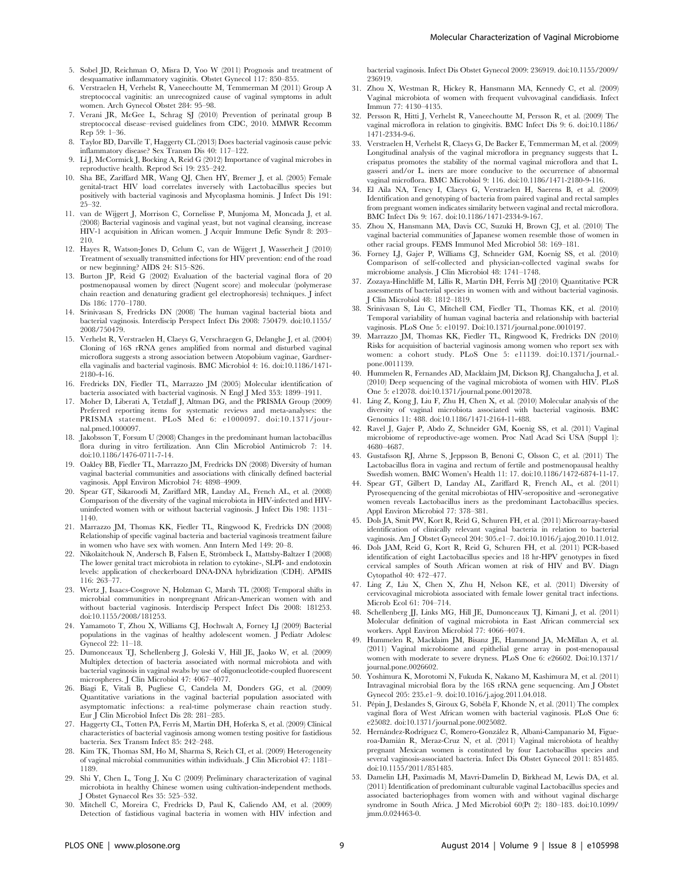- 6. Verstraelen H, Verhelst R, Vaneechoutte M, Temmerman M (2011) Group A streptococcal vaginitis: an unrecognized cause of vaginal symptoms in adult women. Arch Gynecol Obstet 284: 95–98.
- 7. Verani JR, McGee L, Schrag SJ (2010) Prevention of perinatal group B streptococcal disease–revised guidelines from CDC, 2010. MMWR Recomm Rep 59: 1–36.
- 8. Taylor BD, Darville T, Haggerty CL (2013) Does bacterial vaginosis cause pelvic inflammatory disease? Sex Transm Dis 40: 117–122.
- 9. Li J, McCormick J, Bocking A, Reid G (2012) Importance of vaginal microbes in reproductive health. Reprod Sci 19: 235–242.
- 10. Sha BE, Zariffard MR, Wang QJ, Chen HY, Bremer J, et al. (2005) Female genital-tract HIV load correlates inversely with Lactobacillus species but positively with bacterial vaginosis and Mycoplasma hominis. J Infect Dis 191: 25–32.
- 11. van de Wijgert J, Morrison C, Cornelisse P, Munjoma M, Moncada J, et al. (2008) Bacterial vaginosis and vaginal yeast, but not vaginal cleansing, increase HIV-1 acquisition in African women. J Acquir Immune Defic Syndr 8: 203– 210.
- 12. Hayes R, Watson-Jones D, Celum C, van de Wijgert J, Wasserheit J (2010) Treatment of sexually transmitted infections for HIV prevention: end of the road or new beginning? AIDS 24: S15–S26.
- 13. Burton JP, Reid G (2002) Evaluation of the bacterial vaginal flora of 20 postmenopausal women by direct (Nugent score) and molecular (polymerase chain reaction and denaturing gradient gel electrophoresis) techniques. J infect Dis 186: 1770–1780.
- 14. Srinivasan S, Fredricks DN (2008) The human vaginal bacterial biota and bacterial vaginosis. Interdiscip Perspect Infect Dis 2008: 750479. doi:10.1155/ 2008/750479.
- 15. Verhelst R, Verstraelen H, Claeys G, Verschraegen G, Delanghe J, et al. (2004) Cloning of 16S rRNA genes amplified from normal and disturbed vaginal microflora suggests a strong association between Atopobium vaginae, Gardnerella vaginalis and bacterial vaginosis. BMC Microbiol 4: 16. doi:10.1186/1471- 2180-4-16.
- 16. Fredricks DN, Fiedler TL, Marrazzo JM (2005) Molecular identification of bacteria associated with bacterial vaginosis. N Engl J Med 353: 1899–1911.
- 17. Moher D, Liberati A, Tetzlaff J, Altman DG, and the PRISMA Group (2009) Preferred reporting items for systematic reviews and meta-analyses: the PRISMA statement. PLoS Med 6: e1000097. doi:10.1371/journal.pmed.1000097.
- 18. Jakobsson T, Forsum U (2008) Changes in the predominant human lactobacillus flora during in vitro fertilization. Ann Clin Microbiol Antimicrob 7: 14. doi:10.1186/1476-0711-7-14.
- 19. Oakley BB, Fiedler TL, Marrazzo JM, Fredricks DN (2008) Diversity of human vaginal bacterial communities and associations with clinically defined bacterial vaginosis. Appl Environ Microbiol 74: 4898–4909.
- 20. Spear GT, Sikaroodi M, Zariffard MR, Landay AL, French AL, et al. (2008) Comparison of the diversity of the vaginal microbiota in HIV-infected and HIVuninfected women with or without bacterial vaginosis. J Infect Dis 198: 1131– 1140.
- 21. Marrazzo JM, Thomas KK, Fiedler TL, Ringwood K, Fredricks DN (2008) Relationship of specific vaginal bacteria and bacterial vaginosis treatment failure in women who have sex with women. Ann Intern Med 149: 20–8.
- 22. Nikolaitchouk N, Andersch B, Falsen E, Strömbeck L, Mattsby-Baltzer I (2008) The lower genital tract microbiota in relation to cytokine-, SLPI- and endotoxin levels: application of checkerboard DNA-DNA hybridization (CDH). APMIS 116: 263–77.
- 23. Wertz J, Isaacs-Cosgrove N, Holzman C, Marsh TL (2008) Temporal shifts in microbial communities in nonpregnant African-American women with and without bacterial vaginosis. Interdiscip Perspect Infect Dis 2008: 181253. doi:10.1155/2008/181253.
- 24. Yamamoto T, Zhou X, Williams CJ, Hochwalt A, Forney LJ (2009) Bacterial populations in the vaginas of healthy adolescent women. J Pediatr Adolesc Gynecol 22: 11–18.
- 25. Dumonceaux TJ, Schellenberg J, Goleski V, Hill JE, Jaoko W, et al. (2009) Multiplex detection of bacteria associated with normal microbiota and with bacterial vaginosis in vaginal swabs by use of oligonucleotide-coupled fluorescent microspheres. J Clin Microbiol 47: 4067–4077.
- 26. Biagi E, Vitali B, Pugliese C, Candela M, Donders GG, et al. (2009) Quantitative variations in the vaginal bacterial population associated with asymptomatic infections: a real-time polymerase chain reaction study. Eur J Clin Microbiol Infect Dis 28: 281-285.
- 27. Haggerty CL, Totten PA, Ferris M, Martin DH, Hoferka S, et al. (2009) Clinical characteristics of bacterial vaginosis among women testing positive for fastidious bacteria. Sex Transm Infect 85: 242–248.
- 28. Kim TK, Thomas SM, Ho M, Sharma S, Reich CI, et al. (2009) Heterogeneity of vaginal microbial communities within individuals. J Clin Microbiol 47: 1181– 1189.
- 29. Shi Y, Chen L, Tong J, Xu C (2009) Preliminary characterization of vaginal microbiota in healthy Chinese women using cultivation-independent methods. J Obstet Gynaecol Res 35: 525–532.
- 30. Mitchell C, Moreira C, Fredricks D, Paul K, Caliendo AM, et al. (2009) Detection of fastidious vaginal bacteria in women with HIV infection and

bacterial vaginosis. Infect Dis Obstet Gynecol 2009: 236919. doi:10.1155/2009/ 236919.

- 31. Zhou X, Westman R, Hickey R, Hansmann MA, Kennedy C, et al. (2009) Vaginal microbiota of women with frequent vulvovaginal candidiasis. Infect Immun 77: 4130–4135.
- 32. Persson R, Hitti J, Verhelst R, Vaneechoutte M, Persson R, et al. (2009) The vaginal microflora in relation to gingivitis. BMC Infect Dis 9: 6. doi:10.1186/ 1471-2334-9-6.
- 33. Verstraelen H, Verhelst R, Claeys G, De Backer E, Temmerman M, et al. (2009) Longitudinal analysis of the vaginal microflora in pregnancy suggests that L. crispatus promotes the stability of the normal vaginal microflora and that L. gasseri and/or L. iners are more conducive to the occurrence of abnormal vaginal microflora. BMC Microbiol 9: 116. doi:10.1186/1471-2180-9-116.
- 34. El Aila NA, Tency I, Claeys G, Verstraelen H, Saerens B, et al. (2009) Identification and genotyping of bacteria from paired vaginal and rectal samples from pregnant women indicates similarity between vaginal and rectal microflora. BMC Infect Dis 9: 167. doi:10.1186/1471-2334-9-167.
- 35. Zhou X, Hansmann MA, Davis CC, Suzuki H, Brown CJ, et al. (2010) The vaginal bacterial communities of Japanese women resemble those of women in other racial groups. FEMS Immunol Med Microbiol 58: 169–181.
- 36. Forney LJ, Gajer P, Williams CJ, Schneider GM, Koenig SS, et al. (2010) Comparison of self-collected and physician-collected vaginal swabs for microbiome analysis. J Clin Microbiol 48: 1741–1748.
- 37. Zozaya-Hinchliffe M, Lillis R, Martin DH, Ferris MJ (2010) Quantitative PCR assessments of bacterial species in women with and without bacterial vaginosis. J Clin Microbiol 48: 1812–1819.
- 38. Srinivasan S, Liu C, Mitchell CM, Fiedler TL, Thomas KK, et al. (2010) Temporal variability of human vaginal bacteria and relationship with bacterial vaginosis. PLoS One 5: e10197. Doi:10.1371/journal.pone.0010197.
- 39. Marrazzo JM, Thomas KK, Fiedler TL, Ringwood K, Fredricks DN (2010) Risks for acquisition of bacterial vaginosis among women who report sex with women: a cohort study. PLoS One 5: e11139. doi:10.1371/journal. pone.0011139.
- 40. Hummelen R, Fernandes AD, Macklaim JM, Dickson RJ, Changalucha J, et al. (2010) Deep sequencing of the vaginal microbiota of women with HIV. PLoS One 5: e12078. doi:10.1371/journal.pone.0012078.
- 41. Ling Z, Kong J, Liu F, Zhu H, Chen X, et al. (2010) Molecular analysis of the diversity of vaginal microbiota associated with bacterial vaginosis. BMC Genomics 11: 488. doi:10.1186/1471-2164-11-488.
- 42. Ravel J, Gajer P, Abdo Z, Schneider GM, Koenig SS, et al. (2011) Vaginal microbiome of reproductive-age women. Proc Natl Acad Sci USA (Suppl 1): 4680–4687.
- 43. Gustafsson RJ, Ahrne S, Jeppsson B, Benoni C, Olsson C, et al. (2011) The Lactobacillus flora in vagina and rectum of fertile and postmenopausal healthy Swedish women. BMC Women's Health 11: 17. doi:10.1186/1472-6874-11-17.
- 44. Spear GT, Gilbert D, Landay AL, Zariffard R, French AL, et al. (2011) Pyrosequencing of the genital microbiotas of HIV-seropositive and -seronegative women reveals Lactobacillus iners as the predominant Lactobacillus species. Appl Environ Microbiol 77: 378–381.
- 45. Dols JA, Smit PW, Kort R, Reid G, Schuren FH, et al. (2011) Microarray-based identification of clinically relevant vaginal bacteria in relation to bacterial vaginosis. Am J Obstet Gynecol 204: 305.e1–7. doi:10.1016/j.ajog.2010.11.012.
- 46. Dols JAM, Reid G, Kort R, Reid G, Schuren FH, et al. (2011) PCR-based identification of eight Lactobacillus species and 18 hr-HPV genotypes in fixed cervical samples of South African women at risk of HIV and BV. Diagn Cytopathol 40: 472–477.
- 47. Ling Z, Liu X, Chen X, Zhu H, Nelson KE, et al. (2011) Diversity of cervicovaginal microbiota associated with female lower genital tract infections. Microb Ecol 61: 704–714.
- 48. Schellenberg JJ, Links MG, Hill JE, Dumonceaux TJ, Kimani J, et al. (2011) Molecular definition of vaginal microbiota in East African commercial sex workers. Appl Environ Microbiol 77: 4066–4074.
- 49. Hummelen R, Macklaim JM, Bisanz JE, Hammond JA, McMillan A, et al. (2011) Vaginal microbiome and epithelial gene array in post-menopausal women with moderate to severe dryness. PLoS One 6: e26602. Doi:10.1371/ journal.pone.0026602.
- 50. Yoshimura K, Morotomi N, Fukuda K, Nakano M, Kashimura M, et al. (2011) Intravaginal microbial flora by the 16S rRNA gene sequencing. Am J Obstet Gynecol 205: 235.e1–9. doi:10.1016/j.ajog.2011.04.018.
- 51. Pépin J, Deslandes S, Giroux G, Sobéla F, Khonde N, et al. (2011) The complex vaginal flora of West African women with bacterial vaginosis. PLoS One 6: e25082. doi:10.1371/journal.pone.0025082.
- 52. Hernández-Rodríguez C, Romero-González R, Albani-Campanario M, Figueroa-Damia´n R, Meraz-Cruz N, et al. (2011) Vaginal microbiota of healthy pregnant Mexican women is constituted by four Lactobacillus species and several vaginosis-associated bacteria. Infect Dis Obstet Gynecol 2011: 851485. doi:10.1155/2011/851485.
- 53. Damelin LH, Paximadis M, Mavri-Damelin D, Birkhead M, Lewis DA, et al. (2011) Identification of predominant culturable vaginal Lactobacillus species and associated bacteriophages from women with and without vaginal discharge syndrome in South Africa. J Med Microbiol 60(Pt 2): 180–183. doi:10.1099/ imm.0.024463-0.